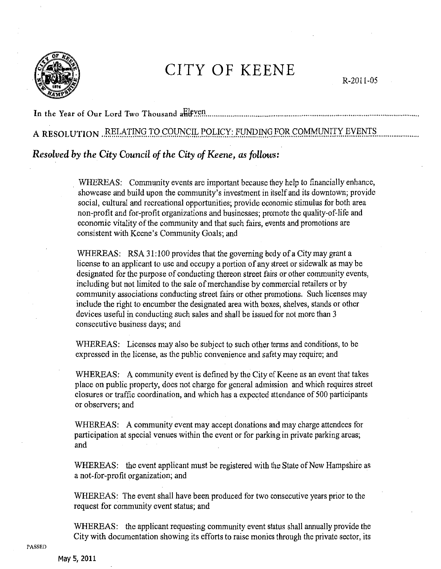

## CITY OF KEENE

R-2011-05

In the Year of Our Lord Two Thousand a Heven.......

## A RESOLUTION RELATING TO COUNCIL POLICY: FUNDING FOR COMMUNITY EVENTS

## Resolved by the City Council of the City of Keene, as follows:

WHEREAS: Community events are important because they help to financially enhance, showcase and build upon the community's investment in itself and its downtown; provide social, cultural and recreational opportunities; provide economic stimulus for both area non-profit and for-profit organizations and businesses; promote the quality-of-life and economic vitality of the community and that such fairs, events and promotions are consistent with Keene's Community Goals; and

WHEREAS: RSA 31:100 provides that the governing body of a City may grant a license to an applicant to use and occupy a portion of any street or sidewalk as may be designated for the purpose of conducting thereon street fairs or other community events, including but not limited to the sale of merchandise by commercial retailers or by community associations conducting street fairs or other promotions. Such licenses may include the right to encumber the designated area with boxes, shelves, stands or other devices useful in conducting such sales and shall be issued for not more than 3 consecutive business days; and

WHEREAS: Licenses may also be subject to such other terms and conditions, to be expressed in the license, as the public convenience and safety may require; and

WHEREAS: A community event is defined by the City of Keene as an event that takes place on public property, does not charge for general admission and which requires street closures or traffic coordination, and which has a expected attendance of 500 participants or observers; and

WHEREAS: A community event may accept donations and may charge attendees for participation at special venues within the event or for parking in private parking areas; and

WHEREAS: the event applicant must be registered with the State of New Hampshire as a not-for-profit organization; and

WHEREAS: The event shall have been produced for two consecutive years prior to the request for community event status; and

WHEREAS: the applicant requesting community event status shall annually provide the City with documentation showing its efforts to raise monies through the private sector, its